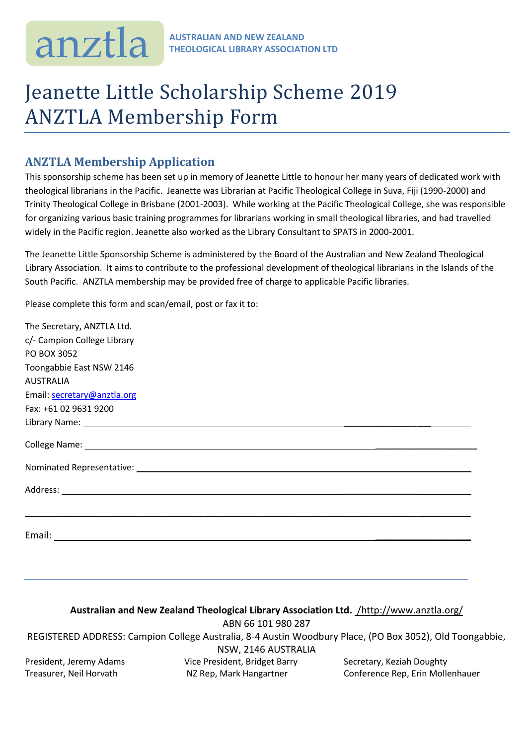## Jeanette Little Scholarship Scheme 2019 ANZTLA Membership Form

## **ANZTLA Membership Application**

This sponsorship scheme has been set up in memory of Jeanette Little to honour her many years of dedicated work with theological librarians in the Pacific. Jeanette was Librarian at Pacific Theological College in Suva, Fiji (1990-2000) and Trinity Theological College in Brisbane (2001-2003). While working at the Pacific Theological College, she was responsible for organizing various basic training programmes for librarians working in small theological libraries, and had travelled widely in the Pacific region. Jeanette also worked as the Library Consultant to SPATS in 2000-2001.

The Jeanette Little Sponsorship Scheme is administered by the Board of the Australian and New Zealand Theological Library Association. It aims to contribute to the professional development of theological librarians in the Islands of the South Pacific. ANZTLA membership may be provided free of charge to applicable Pacific libraries.

Please complete this form and scan/email, post or fax it to:

| The Secretary, ANZTLA Ltd.                                                                                                                                                                                                     |
|--------------------------------------------------------------------------------------------------------------------------------------------------------------------------------------------------------------------------------|
| c/- Campion College Library                                                                                                                                                                                                    |
| PO BOX 3052                                                                                                                                                                                                                    |
| Toongabbie East NSW 2146                                                                                                                                                                                                       |
| <b>AUSTRALIA</b>                                                                                                                                                                                                               |
| Email: secretary@anztla.org                                                                                                                                                                                                    |
| Fax: +61 02 9631 9200                                                                                                                                                                                                          |
| Library Name: Latin and Contract and Contract and Contract and Contract and Contract and Contract and Contract and Contract and Contract and Contract and Contract and Contract and Contract and Contract and Contract and Con |
|                                                                                                                                                                                                                                |
|                                                                                                                                                                                                                                |
|                                                                                                                                                                                                                                |
|                                                                                                                                                                                                                                |
|                                                                                                                                                                                                                                |

## **Australian and New Zealand Theological Library Association Ltd.** /http://www.anztla.org/ ABN 66 101 980 287 REGISTERED ADDRESS: Campion College Australia, 8-4 Austin Woodbury Place, (PO Box 3052), Old Toongabbie, NSW, 2146 AUSTRALIA President, Jeremy Adams **Vice President, Bridget Barry Secretary, Keziah Doughty** Treasurer, Neil Horvath **NZ Rep, Mark Hangartner** Conference Rep, Erin Mollenhauer